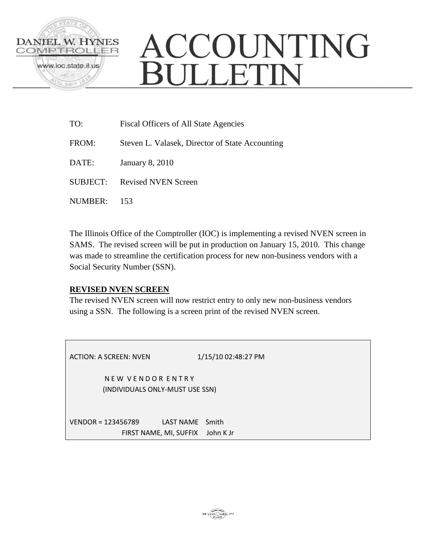

# ACCOUNTING BULLETIN

TO: Fiscal Officers of All State Agencies FROM: Steven L. Valasek, Director of State Accounting DATE: January 8, 2010 SUBJECT: Revised NVEN Screen NUMBER: 153

The Illinois Office of the Comptroller (IOC) is implementing a revised NVEN screen in SAMS. The revised screen will be put in production on January 15, 2010. This change was made to streamline the certification process for new non-business vendors with a Social Security Number (SSN).

# **REVISED NVEN SCREEN**

The revised NVEN screen will now restrict entry to only new non-business vendors using a SSN. The following is a screen print of the revised NVEN screen.

| ACTION: A SCREEN: NVEN                                            | 1/15/10 02:48:27 PM |
|-------------------------------------------------------------------|---------------------|
| NEW VENDOR ENTRY<br>(INDIVIDUALS ONLY-MUST USE SSN)               |                     |
| $VENDOR = 123456789$<br>LAST NAME Smith<br>FIRST NAME, MI, SUFFIX | John K Jr           |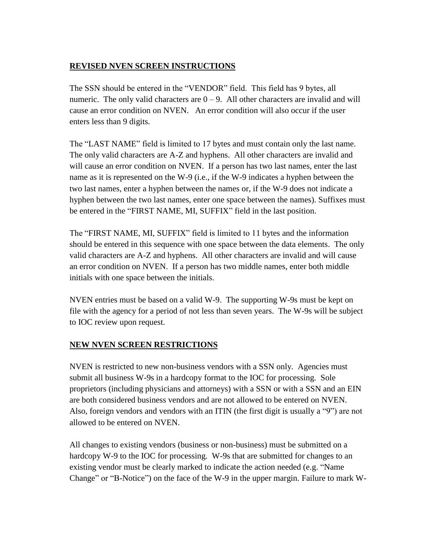#### **REVISED NVEN SCREEN INSTRUCTIONS**

The SSN should be entered in the "VENDOR" field. This field has 9 bytes, all numeric. The only valid characters are  $0 - 9$ . All other characters are invalid and will cause an error condition on NVEN. An error condition will also occur if the user enters less than 9 digits.

The "LAST NAME" field is limited to 17 bytes and must contain only the last name. The only valid characters are A-Z and hyphens. All other characters are invalid and will cause an error condition on NVEN. If a person has two last names, enter the last name as it is represented on the W-9 (i.e., if the W-9 indicates a hyphen between the two last names, enter a hyphen between the names or, if the W-9 does not indicate a hyphen between the two last names, enter one space between the names). Suffixes must be entered in the "FIRST NAME, MI, SUFFIX" field in the last position.

The "FIRST NAME, MI, SUFFIX" field is limited to 11 bytes and the information should be entered in this sequence with one space between the data elements. The only valid characters are A-Z and hyphens. All other characters are invalid and will cause an error condition on NVEN. If a person has two middle names, enter both middle initials with one space between the initials.

NVEN entries must be based on a valid W-9. The supporting W-9s must be kept on file with the agency for a period of not less than seven years. The W-9s will be subject to IOC review upon request.

# **NEW NVEN SCREEN RESTRICTIONS**

NVEN is restricted to new non-business vendors with a SSN only. Agencies must submit all business W-9s in a hardcopy format to the IOC for processing. Sole proprietors (including physicians and attorneys) with a SSN or with a SSN and an EIN are both considered business vendors and are not allowed to be entered on NVEN. Also, foreign vendors and vendors with an ITIN (the first digit is usually a "9") are not allowed to be entered on NVEN.

All changes to existing vendors (business or non-business) must be submitted on a hardcopy W-9 to the IOC for processing. W-9s that are submitted for changes to an existing vendor must be clearly marked to indicate the action needed (e.g. "Name Change" or "B-Notice") on the face of the W-9 in the upper margin. Failure to mark W-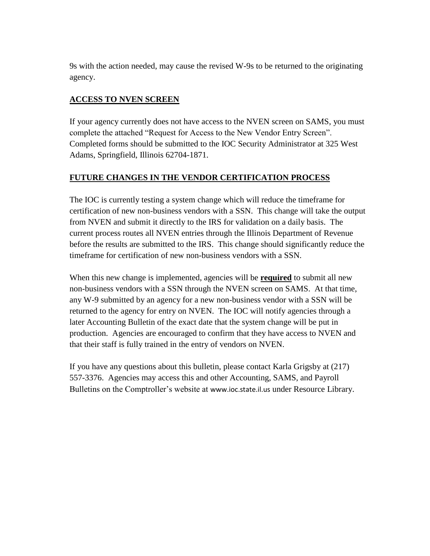9s with the action needed, may cause the revised W-9s to be returned to the originating agency.

# **ACCESS TO NVEN SCREEN**

If your agency currently does not have access to the NVEN screen on SAMS, you must complete the attached "Request for Access to the New Vendor Entry Screen". Completed forms should be submitted to the IOC Security Administrator at 325 West Adams, Springfield, Illinois 62704-1871.

#### **FUTURE CHANGES IN THE VENDOR CERTIFICATION PROCESS**

The IOC is currently testing a system change which will reduce the timeframe for certification of new non-business vendors with a SSN. This change will take the output from NVEN and submit it directly to the IRS for validation on a daily basis. The current process routes all NVEN entries through the Illinois Department of Revenue before the results are submitted to the IRS. This change should significantly reduce the timeframe for certification of new non-business vendors with a SSN.

When this new change is implemented, agencies will be **required** to submit all new non-business vendors with a SSN through the NVEN screen on SAMS. At that time, any W-9 submitted by an agency for a new non-business vendor with a SSN will be returned to the agency for entry on NVEN. The IOC will notify agencies through a later Accounting Bulletin of the exact date that the system change will be put in production. Agencies are encouraged to confirm that they have access to NVEN and that their staff is fully trained in the entry of vendors on NVEN.

If you have any questions about this bulletin, please contact Karla Grigsby at (217) 557-3376. Agencies may access this and other Accounting, SAMS, and Payroll Bulletins on the Comptroller's website at [www.ioc.state.il.us](http://www.ioc.state.il.us/) under Resource Library.